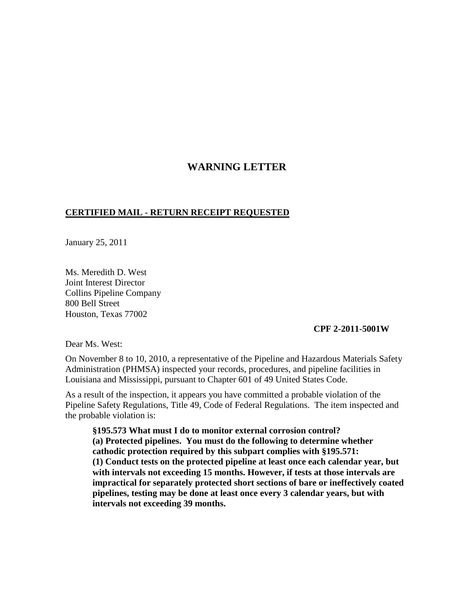## **WARNING LETTER**

## **CERTIFIED MAIL - RETURN RECEIPT REQUESTED**

January 25, 2011

Ms. Meredith D. West Joint Interest Director Collins Pipeline Company 800 Bell Street Houston, Texas 77002

## **CPF 2-2011-5001W**

Dear Ms. West:

On November 8 to 10, 2010, a representative of the Pipeline and Hazardous Materials Safety Administration (PHMSA) inspected your records, procedures, and pipeline facilities in Louisiana and Mississippi, pursuant to Chapter 601 of 49 United States Code.

As a result of the inspection, it appears you have committed a probable violation of the Pipeline Safety Regulations, Title 49, Code of Federal Regulations. The item inspected and the probable violation is:

**§195.573 What must I do to monitor external corrosion control? (a) Protected pipelines. You must do the following to determine whether cathodic protection required by this subpart complies with §195.571: (1) Conduct tests on the protected pipeline at least once each calendar year, but with intervals not exceeding 15 months. However, if tests at those intervals are impractical for separately protected short sections of bare or ineffectively coated pipelines, testing may be done at least once every 3 calendar years, but with intervals not exceeding 39 months.**